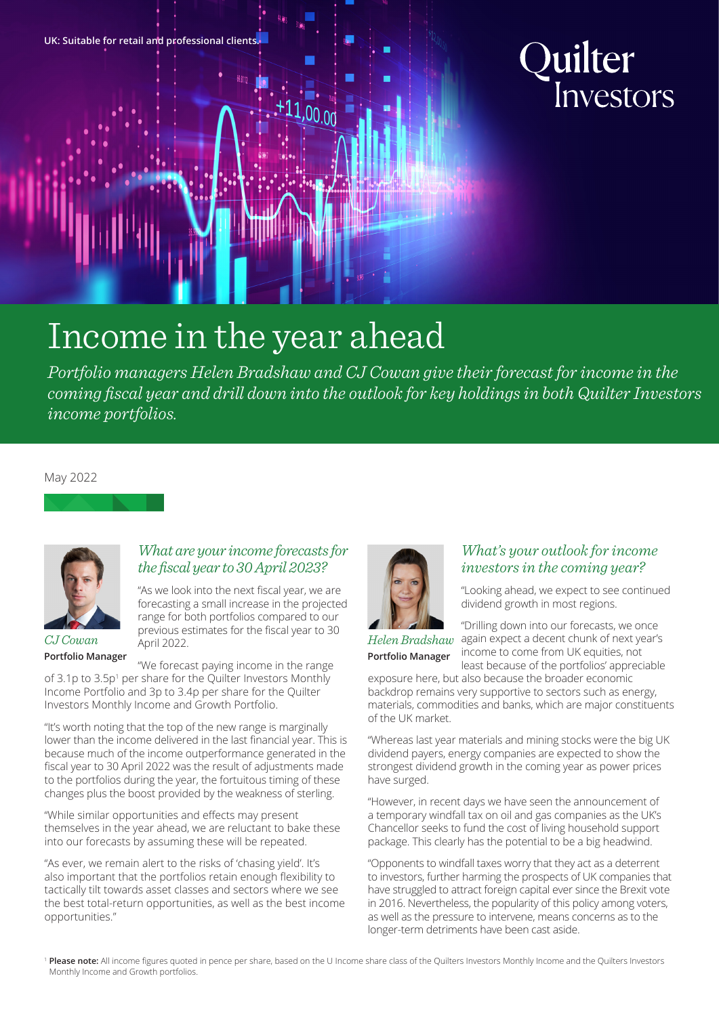

# Quilter Investors

## Income in the year ahead

*Portfolio managers Helen Bradshaw and CJ Cowan give their forecast for income in the coming fiscal year and drill down into the outlook for key holdings in both Quilter Investors income portfolios.*

 $,00.00$ 

#### May 2022



*CJ Cowan* **Portfolio Manager**

### *What are your income forecasts for the fiscal year to 30 April 2023?*

"As we look into the next fiscal year, we are forecasting a small increase in the projected range for both portfolios compared to our previous estimates for the fiscal year to 30 April 2022.

"We forecast paying income in the range of 3.1p to 3.5p<sup>1</sup> per share for the Quilter Investors Monthly Income Portfolio and 3p to 3.4p per share for the Quilter Investors Monthly Income and Growth Portfolio.

"It's worth noting that the top of the new range is marginally lower than the income delivered in the last financial year. This is because much of the income outperformance generated in the fiscal year to 30 April 2022 was the result of adjustments made to the portfolios during the year, the fortuitous timing of these changes plus the boost provided by the weakness of sterling.

"While similar opportunities and effects may present themselves in the year ahead, we are reluctant to bake these into our forecasts by assuming these will be repeated.

"As ever, we remain alert to the risks of 'chasing yield'. It's also important that the portfolios retain enough flexibility to tactically tilt towards asset classes and sectors where we see the best total-return opportunities, as well as the best income opportunities."



#### *What's your outlook for income investors in the coming year?*

"Looking ahead, we expect to see continued dividend growth in most regions.

**Portfolio Manager**

"Drilling down into our forecasts, we once  $Helen Bradshaw$  again expect a decent chunk of next year's income to come from UK equities, not least because of the portfolios' appreciable

exposure here, but also because the broader economic backdrop remains very supportive to sectors such as energy, materials, commodities and banks, which are major constituents of the UK market.

"Whereas last year materials and mining stocks were the big UK dividend payers, energy companies are expected to show the strongest dividend growth in the coming year as power prices have surged.

"However, in recent days we have seen the announcement of a temporary windfall tax on oil and gas companies as the UK's Chancellor seeks to fund the cost of living household support package. This clearly has the potential to be a big headwind.

"Opponents to windfall taxes worry that they act as a deterrent to investors, further harming the prospects of UK companies that have struggled to attract foreign capital ever since the Brexit vote in 2016. Nevertheless, the popularity of this policy among voters, as well as the pressure to intervene, means concerns as to the longer-term detriments have been cast aside.

<sup>1</sup> Please note: All income figures quoted in pence per share, based on the U Income share class of the Quilters Investors Monthly Income and the Quilters Investors Monthly Income and Growth portfolios.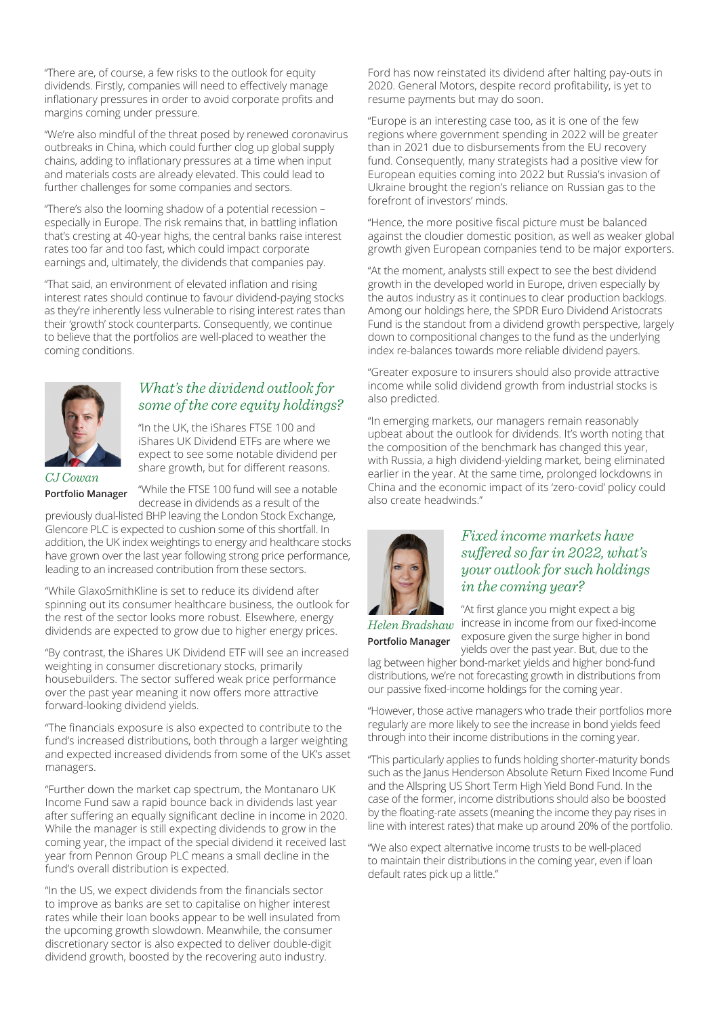"There are, of course, a few risks to the outlook for equity dividends. Firstly, companies will need to effectively manage inflationary pressures in order to avoid corporate profits and margins coming under pressure.

"We're also mindful of the threat posed by renewed coronavirus outbreaks in China, which could further clog up global supply chains, adding to inflationary pressures at a time when input and materials costs are already elevated. This could lead to further challenges for some companies and sectors.

"There's also the looming shadow of a potential recession – especially in Europe. The risk remains that, in battling inflation that's cresting at 40-year highs, the central banks raise interest rates too far and too fast, which could impact corporate earnings and, ultimately, the dividends that companies pay.

"That said, an environment of elevated inflation and rising interest rates should continue to favour dividend-paying stocks as they're inherently less vulnerable to rising interest rates than their 'growth' stock counterparts. Consequently, we continue to believe that the portfolios are well-placed to weather the coming conditions.



#### *What's the dividend outlook for some of the core equity holdings?*

"In the UK, the iShares FTSE 100 and iShares UK Dividend ETFs are where we expect to see some notable dividend per share growth, but for different reasons.

*CJ Cowan* **Portfolio Manager**

"While the FTSE 100 fund will see a notable decrease in dividends as a result of the

previously dual-listed BHP leaving the London Stock Exchange, Glencore PLC is expected to cushion some of this shortfall. In addition, the UK index weightings to energy and healthcare stocks have grown over the last year following strong price performance, leading to an increased contribution from these sectors.

"While GlaxoSmithKline is set to reduce its dividend after spinning out its consumer healthcare business, the outlook for the rest of the sector looks more robust. Elsewhere, energy dividends are expected to grow due to higher energy prices.

"By contrast, the iShares UK Dividend ETF will see an increased weighting in consumer discretionary stocks, primarily housebuilders. The sector suffered weak price performance over the past year meaning it now offers more attractive forward-looking dividend yields.

"The financials exposure is also expected to contribute to the fund's increased distributions, both through a larger weighting and expected increased dividends from some of the UK's asset managers.

"Further down the market cap spectrum, the Montanaro UK Income Fund saw a rapid bounce back in dividends last year after suffering an equally significant decline in income in 2020. While the manager is still expecting dividends to grow in the coming year, the impact of the special dividend it received last year from Pennon Group PLC means a small decline in the fund's overall distribution is expected.

"In the US, we expect dividends from the financials sector to improve as banks are set to capitalise on higher interest rates while their loan books appear to be well insulated from the upcoming growth slowdown. Meanwhile, the consumer discretionary sector is also expected to deliver double-digit dividend growth, boosted by the recovering auto industry.

Ford has now reinstated its dividend after halting pay-outs in 2020. General Motors, despite record profitability, is yet to resume payments but may do soon.

"Europe is an interesting case too, as it is one of the few regions where government spending in 2022 will be greater than in 2021 due to disbursements from the EU recovery fund. Consequently, many strategists had a positive view for European equities coming into 2022 but Russia's invasion of Ukraine brought the region's reliance on Russian gas to the forefront of investors' minds.

"Hence, the more positive fiscal picture must be balanced against the cloudier domestic position, as well as weaker global growth given European companies tend to be major exporters.

"At the moment, analysts still expect to see the best dividend growth in the developed world in Europe, driven especially by the autos industry as it continues to clear production backlogs. Among our holdings here, the SPDR Euro Dividend Aristocrats Fund is the standout from a dividend growth perspective, largely down to compositional changes to the fund as the underlying index re-balances towards more reliable dividend payers.

"Greater exposure to insurers should also provide attractive income while solid dividend growth from industrial stocks is also predicted.

"In emerging markets, our managers remain reasonably upbeat about the outlook for dividends. It's worth noting that the composition of the benchmark has changed this year, with Russia, a high dividend-yielding market, being eliminated earlier in the year. At the same time, prolonged lockdowns in China and the economic impact of its 'zero-covid' policy could also create headwinds."



#### *Fixed income markets have suffered so far in 2022, what's your outlook for such holdings in the coming year?*

*Helen Bradshaw* **Portfolio Manager**

"At first glance you might expect a big increase in income from our fixed-income exposure given the surge higher in bond yields over the past year. But, due to the

lag between higher bond-market yields and higher bond-fund distributions, we're not forecasting growth in distributions from our passive fixed-income holdings for the coming year.

"However, those active managers who trade their portfolios more regularly are more likely to see the increase in bond yields feed through into their income distributions in the coming year.

"This particularly applies to funds holding shorter-maturity bonds such as the Janus Henderson Absolute Return Fixed Income Fund and the Allspring US Short Term High Yield Bond Fund. In the case of the former, income distributions should also be boosted by the floating-rate assets (meaning the income they pay rises in line with interest rates) that make up around 20% of the portfolio.

"We also expect alternative income trusts to be well-placed to maintain their distributions in the coming year, even if loan default rates pick up a little."